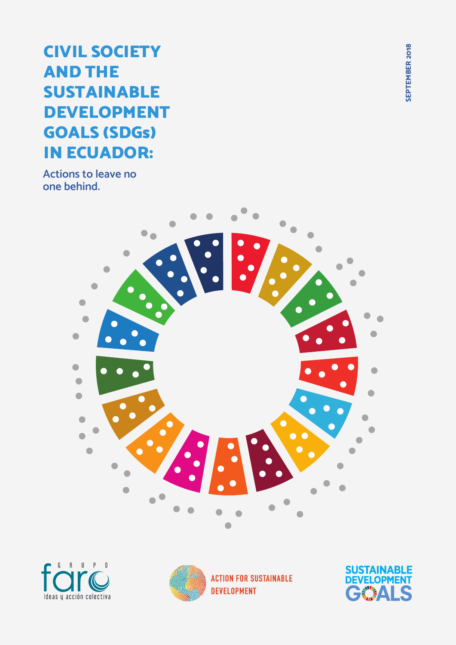# **CIVIL SOCIETY AND THE SUSTAINABLE DEVELOPMENT GOALS (SDGs) IN ECUADOR:**

**Actions to leave no one behind.**







**ACTION FOR SUSTAINABLE DEVELOPMENT** 

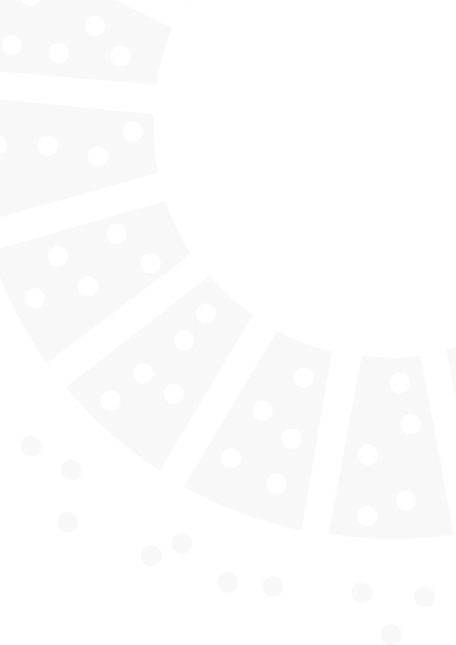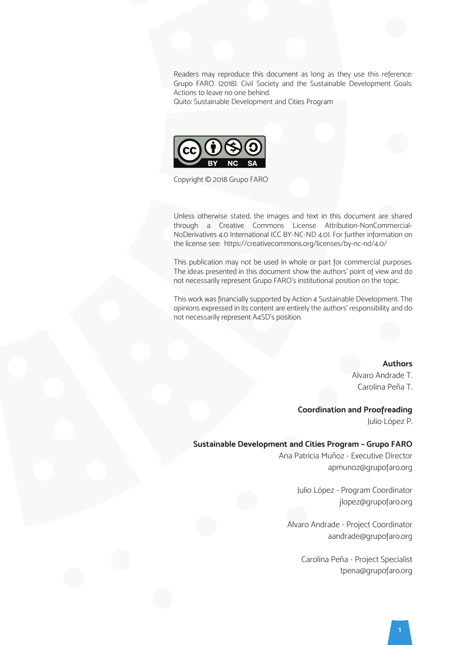Readers may reproduce this document as long as they use this reference: Grupo FARO. (2018). Civil Society and the Sustainable Development Goals: Actions to leave no one behind.

Quito: Sustainable Development and Cities Program



Copyright © 2018 Grupo FARO

Unless otherwise stated, the images and text in this document are shared through a Creative Commons License Attribution-NonCommercial-NoDerivatives 4.0 International (CC BY-NC-ND 4.0). For further information on the license see: https://creativecommons.org/licenses/by-nc-nd/4.0/

This publication may not be used in whole or part for commercial purposes. The ideas presented in this document show the authors' point of view and do not necessarily represent Grupo FARO's institutional position on the topic.

This work was financially supported by Action 4 Sustainable Development. The opinions expressed in its content are entirely the authors' responsibility and do not necessarily represent A4SD's position.

> **Authors** Alvaro Andrade T. Carolina Peña T.

#### **Coordination and Proofreading**

Julio López P.

#### **Sustainable Development and Cities Program – Grupo FARO**

Ana Patricia Muñoz - Executive Director apmunoz@grupofaro.org

> Julio López - Program Coordinator jlopez@grupofaro.org

Alvaro Andrade - Project Coordinator aandrade@grupofaro.org

> Carolina Peña - Project Specialist tpena@grupofaro.org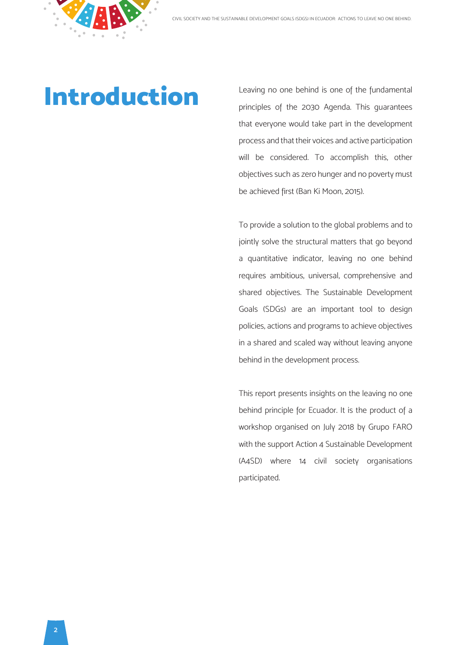

Introduction<br>
Leaving no one behind is one of the fundamental principles of the 2030 Agenda. This guarantees that everyone would take part in the development process and that their voices and active participation will be considered. To accomplish this, other objectives such as zero hunger and no poverty must be achieved first (Ban Ki Moon, 2015).

> To provide a solution to the global problems and to jointly solve the structural matters that go beyond a quantitative indicator, leaving no one behind requires ambitious, universal, comprehensive and shared objectives. The Sustainable Development Goals (SDGs) are an important tool to design policies, actions and programs to achieve objectives in a shared and scaled way without leaving anyone behind in the development process.

> This report presents insights on the leaving no one behind principle for Ecuador. It is the product of a workshop organised on July 2018 by Grupo FARO with the support Action 4 Sustainable Development (A4SD) where 14 civil society organisations participated.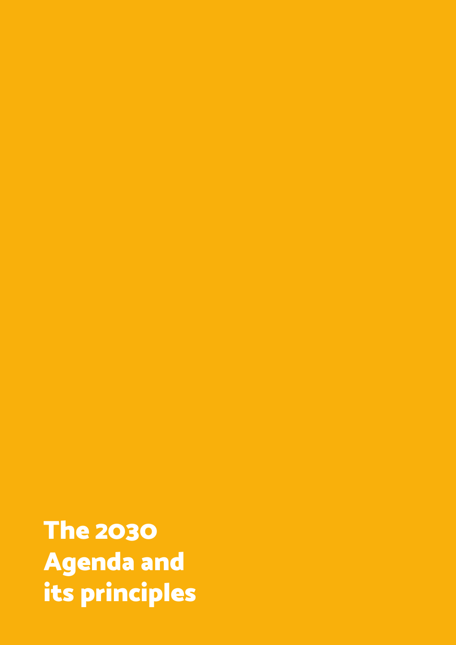**The 2030 Agenda and its principles**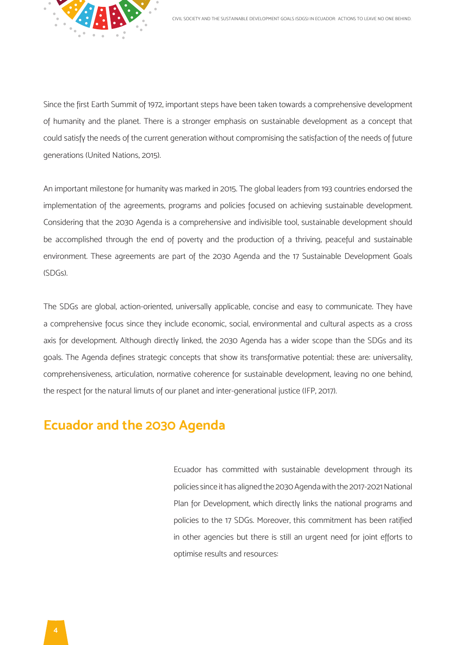

Since the first Earth Summit of 1972, important steps have been taken towards a comprehensive development of humanity and the planet. There is a stronger emphasis on sustainable development as a concept that could satisfy the needs of the current generation without compromising the satisfaction of the needs of future generations (United Nations, 2015).

An important milestone for humanity was marked in 2015. The global leaders from 193 countries endorsed the implementation of the agreements, programs and policies focused on achieving sustainable development. Considering that the 2030 Agenda is a comprehensive and indivisible tool, sustainable development should be accomplished through the end of poverty and the production of a thriving, peaceful and sustainable environment. These agreements are part of the 2030 Agenda and the 17 Sustainable Development Goals (SDGs).

The SDGs are global, action-oriented, universally applicable, concise and easy to communicate. They have a comprehensive focus since they include economic, social, environmental and cultural aspects as a cross axis for development. Although directly linked, the 2030 Agenda has a wider scope than the SDGs and its goals. The Agenda defines strategic concepts that show its transformative potential; these are: universality, comprehensiveness, articulation, normative coherence for sustainable development, leaving no one behind, the respect for the natural limuts of our planet and inter-generational justice (IFP, 2017).

### **Ecuador and the 2030 Agenda**

Ecuador has committed with sustainable development through its policies since it has aligned the 2030 Agenda with the 2017-2021 National Plan for Development, which directly links the national programs and policies to the 17 SDGs. Moreover, this commitment has been ratified in other agencies but there is still an urgent need for joint efforts to optimise results and resources: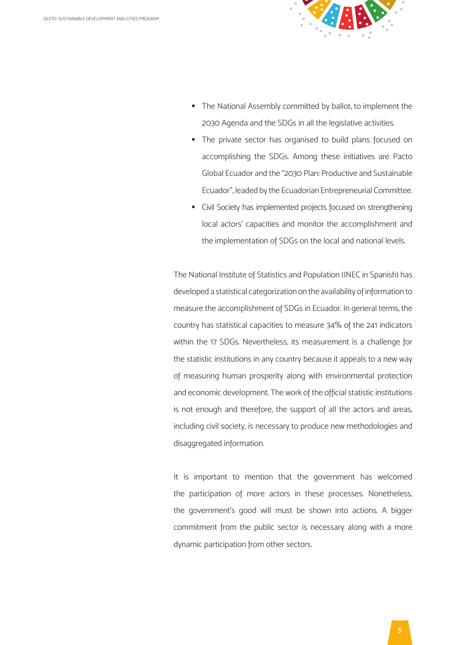

- The National Assembly committed by ballot, to implement the 2030 Agenda and the SDGs in all the legislative activities.
- The private sector has organised to build plans focused on accomplishing the SDGs. Among these initiatives are Pacto Global Ecuador and the "2030 Plan: Productive and Sustainable Ecuador", leaded by the Ecuadorian Entrepreneurial Committee.
- Civil Society has implemented projects focused on strengthening local actors' capacities and monitor the accomplishment and the implementation of SDGs on the local and national levels.

The National Institute of Statistics and Population (INEC in Spanish) has developed a statistical categorization on the availability of information to measure the accomplishment of SDGs in Ecuador. In general terms, the country has statistical capacities to measure 34% of the 241 indicators within the 17 SDGs. Nevertheless, its measurement is a challenge for the statistic institutions in any country because it appeals to a new way of measuring human prosperity along with environmental protection and economic development. The work of the official statistic institutions is not enough and therefore, the support of all the actors and areas, including civil society, is necessary to produce new methodologies and disaggregated information.

It is important to mention that the government has welcomed the participation of more actors in these processes. Nonetheless, the government's good will must be shown into actions. A bigger commitment from the public sector is necessary along with a more dynamic participation from other sectors.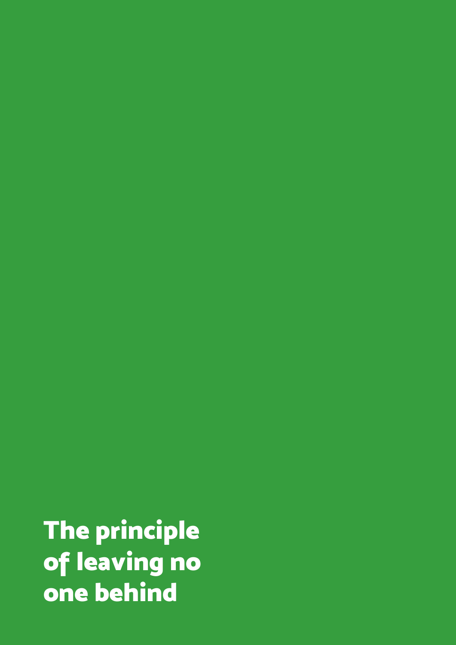**The principle of leaving no one behind**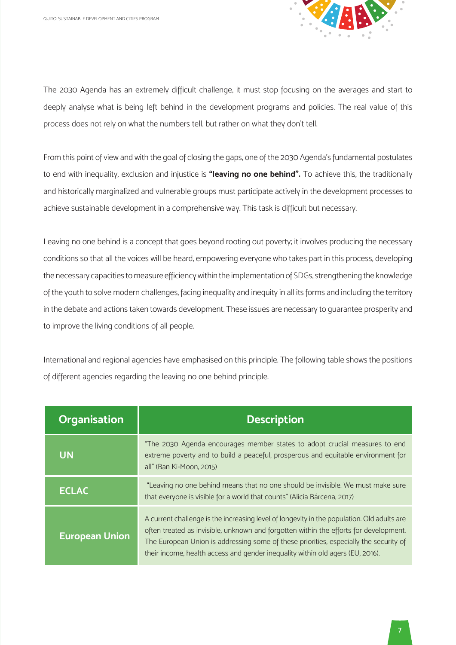

The 2030 Agenda has an extremely difficult challenge, it must stop focusing on the averages and start to deeply analyse what is being left behind in the development programs and policies. The real value of this process does not rely on what the numbers tell, but rather on what they don't tell.

From this point of view and with the goal of closing the gaps, one of the 2030 Agenda's fundamental postulates to end with inequality, exclusion and injustice is **"leaving no one behind".** To achieve this, the traditionally and historically marginalized and vulnerable groups must participate actively in the development processes to achieve sustainable development in a comprehensive way. This task is difficult but necessary.

Leaving no one behind is a concept that goes beyond rooting out poverty; it involves producing the necessary conditions so that all the voices will be heard, empowering everyone who takes part in this process, developing the necessary capacities to measure efficiency within the implementation of SDGs, strengthening the knowledge of the youth to solve modern challenges, facing inequality and inequity in all its forms and including the territory in the debate and actions taken towards development. These issues are necessary to guarantee prosperity and to improve the living conditions of all people.

International and regional agencies have emphasised on this principle. The following table shows the positions of different agencies regarding the leaving no one behind principle.

| <b>Organisation</b>   | <b>Description</b>                                                                                                                                                                                                                                                                                                                                             |
|-----------------------|----------------------------------------------------------------------------------------------------------------------------------------------------------------------------------------------------------------------------------------------------------------------------------------------------------------------------------------------------------------|
| <b>UN</b>             | "The 2030 Agenda encourages member states to adopt crucial measures to end<br>extreme poverty and to build a peaceful, prosperous and equitable environment for<br>all" (Ban Ki-Moon, 2015)                                                                                                                                                                    |
| <b>ECLAC</b>          | "Leaving no one behind means that no one should be invisible. We must make sure<br>that everyone is visible for a world that counts" (Alicia Bárcena, 2017)                                                                                                                                                                                                    |
| <b>European Union</b> | A current challenge is the increasing level of longevity in the population. Old adults are<br>often treated as invisible, unknown and forgotten within the efforts for development.<br>The European Union is addressing some of these priorities, especially the security of<br>their income, health access and gender inequality within old agers (EU, 2016). |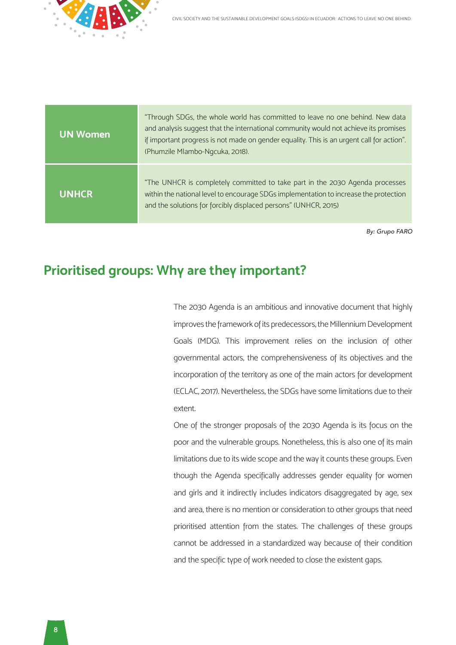

| <b>UN Women</b> | "Through SDGs, the whole world has committed to leave no one behind. New data<br>and analysis suggest that the international community would not achieve its promises<br>if important progress is not made on gender equality. This is an urgent call for action".<br>(Phumzile Mlambo-Ngcuka, 2018). |
|-----------------|-------------------------------------------------------------------------------------------------------------------------------------------------------------------------------------------------------------------------------------------------------------------------------------------------------|
| <b>UNHCR</b>    | "The UNHCR is completely committed to take part in the 2030 Agenda processes<br>within the national level to encourage SDGs implementation to increase the protection<br>and the solutions for forcibly displaced persons" (UNHCR, 2015)                                                              |

*By: Grupo FARO*

#### **Prioritised groups: Why are they important?**

The 2030 Agenda is an ambitious and innovative document that highly improves the framework of its predecessors, the Millennium Development Goals (MDG). This improvement relies on the inclusion of other governmental actors, the comprehensiveness of its objectives and the incorporation of the territory as one of the main actors for development (ECLAC, 2017). Nevertheless, the SDGs have some limitations due to their extent.

One of the stronger proposals of the 2030 Agenda is its focus on the poor and the vulnerable groups. Nonetheless, this is also one of its main limitations due to its wide scope and the way it counts these groups. Even though the Agenda specifically addresses gender equality for women and girls and it indirectly includes indicators disaggregated by age, sex and area, there is no mention or consideration to other groups that need prioritised attention from the states. The challenges of these groups cannot be addressed in a standardized way because of their condition and the specific type of work needed to close the existent gaps.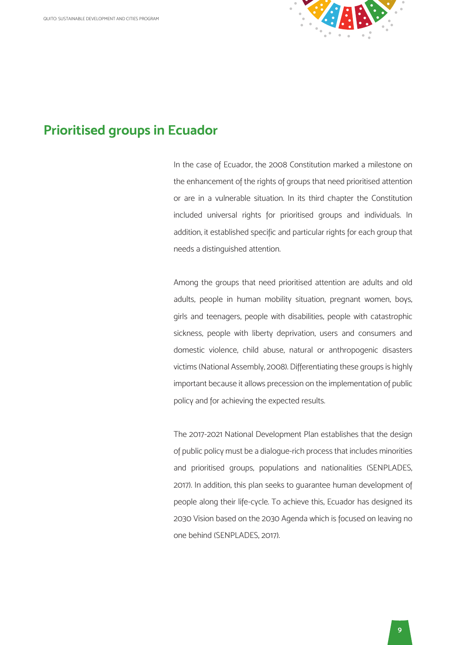

## **Prioritised groups in Ecuador**

In the case of Ecuador, the 2008 Constitution marked a milestone on the enhancement of the rights of groups that need prioritised attention or are in a vulnerable situation. In its third chapter the Constitution included universal rights for prioritised groups and individuals. In addition, it established specific and particular rights for each group that needs a distinguished attention.

Among the groups that need prioritised attention are adults and old adults, people in human mobility situation, pregnant women, boys, girls and teenagers, people with disabilities, people with catastrophic sickness, people with liberty deprivation, users and consumers and domestic violence, child abuse, natural or anthropogenic disasters victims (National Assembly, 2008). Differentiating these groups is highly important because it allows precession on the implementation of public policy and for achieving the expected results.

The 2017-2021 National Development Plan establishes that the design of public policy must be a dialogue-rich process that includes minorities and prioritised groups, populations and nationalities (SENPLADES, 2017). In addition, this plan seeks to guarantee human development of people along their life-cycle. To achieve this, Ecuador has designed its 2030 Vision based on the 2030 Agenda which is focused on leaving no one behind (SENPLADES, 2017).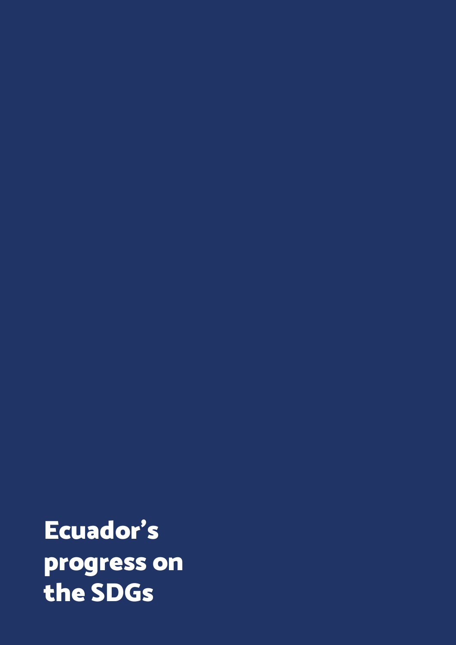**Ecuador's progress on the SDGs**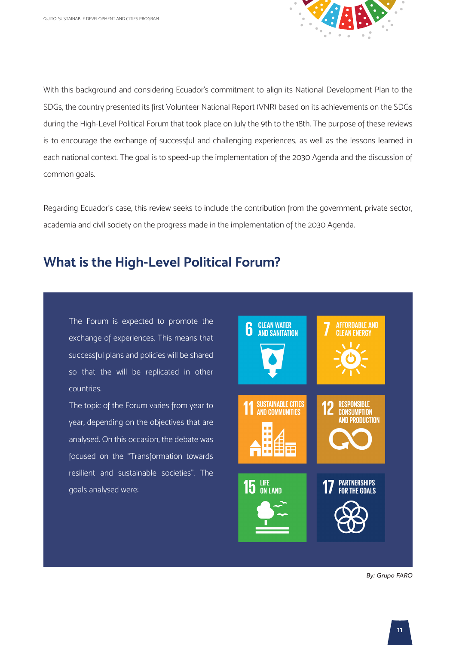

With this background and considering Ecuador's commitment to align its National Development Plan to the SDGs, the country presented its first Volunteer National Report (VNR) based on its achievements on the SDGs during the High-Level Political Forum that took place on July the 9th to the 18th. The purpose of these reviews is to encourage the exchange of successful and challenging experiences, as well as the lessons learned in each national context. The goal is to speed-up the implementation of the 2030 Agenda and the discussion of common goals.

Regarding Ecuador's case, this review seeks to include the contribution from the government, private sector, academia and civil society on the progress made in the implementation of the 2030 Agenda.

## **What is the High-Level Political Forum?**

The Forum is expected to promote the exchange of experiences. This means that successful plans and policies will be shared so that the will be replicated in other countries.

The topic of the Forum varies from year to year, depending on the objectives that are analysed. On this occasion, the debate was focused on the "Transformation towards resilient and sustainable societies". The goals analysed were:



*By: Grupo FARO*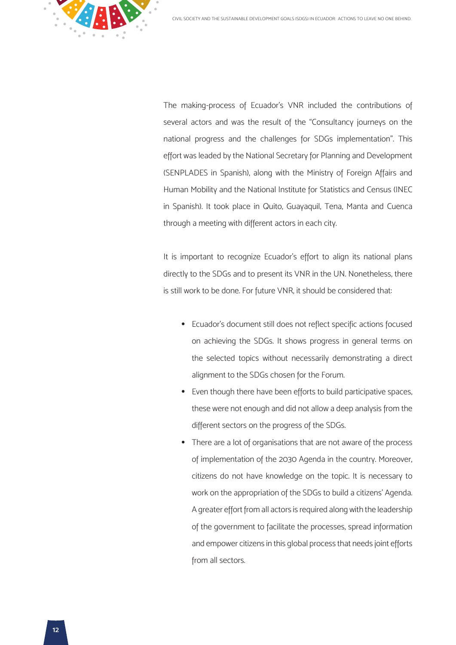

The making-process of Ecuador's VNR included the contributions of several actors and was the result of the "Consultancy journeys on the national progress and the challenges for SDGs implementation". This effort was leaded by the National Secretary for Planning and Development (SENPLADES in Spanish), along with the Ministry of Foreign Affairs and Human Mobility and the National Institute for Statistics and Census (INEC in Spanish). It took place in Quito, Guayaquil, Tena, Manta and Cuenca through a meeting with different actors in each city.

It is important to recognize Ecuador's effort to align its national plans directly to the SDGs and to present its VNR in the UN. Nonetheless, there is still work to be done. For future VNR, it should be considered that:

- Ecuador's document still does not reflect specific actions focused on achieving the SDGs. It shows progress in general terms on the selected topics without necessarily demonstrating a direct alignment to the SDGs chosen for the Forum.
- Even though there have been efforts to build participative spaces, these were not enough and did not allow a deep analysis from the different sectors on the progress of the SDGs.
- There are a lot of organisations that are not aware of the process of implementation of the 2030 Agenda in the country. Moreover, citizens do not have knowledge on the topic. It is necessary to work on the appropriation of the SDGs to build a citizens' Agenda. A greater effort from all actors is required along with the leadership of the government to facilitate the processes, spread information and empower citizens in this global process that needs joint efforts from all sectors.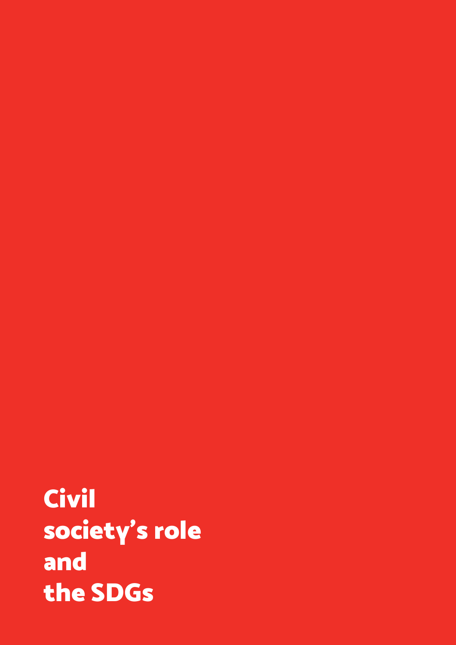**Civil society's role and the SDGs**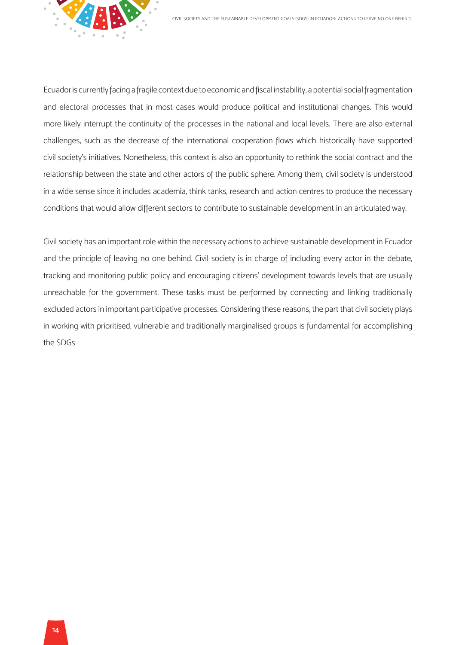

Ecuador is currently facing a fragile context due to economic and fiscal instability, a potential social fragmentation and electoral processes that in most cases would produce political and institutional changes. This would more likely interrupt the continuity of the processes in the national and local levels. There are also external challenges, such as the decrease of the international cooperation flows which historically have supported civil society's initiatives. Nonetheless, this context is also an opportunity to rethink the social contract and the relationship between the state and other actors of the public sphere. Among them, civil society is understood in a wide sense since it includes academia, think tanks, research and action centres to produce the necessary conditions that would allow different sectors to contribute to sustainable development in an articulated way.

Civil society has an important role within the necessary actions to achieve sustainable development in Ecuador and the principle of leaving no one behind. Civil society is in charge of including every actor in the debate, tracking and monitoring public policy and encouraging citizens' development towards levels that are usually unreachable for the government. These tasks must be performed by connecting and linking traditionally excluded actors in important participative processes. Considering these reasons, the part that civil society plays in working with prioritised, vulnerable and traditionally marginalised groups is fundamental for accomplishing the SDGs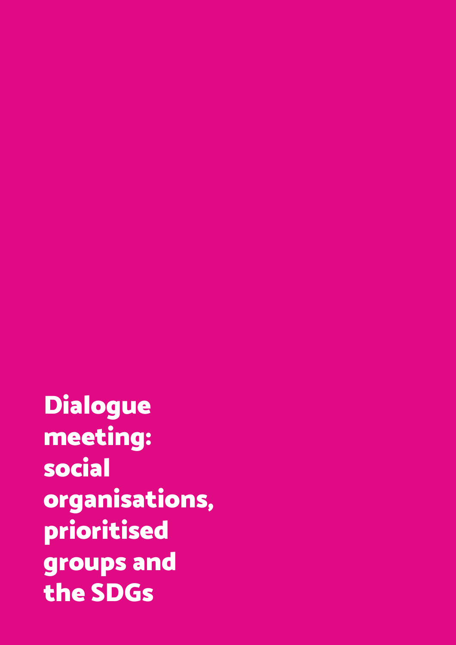**Dialogue meeting: social organisations, prioritised groups and the SDGs**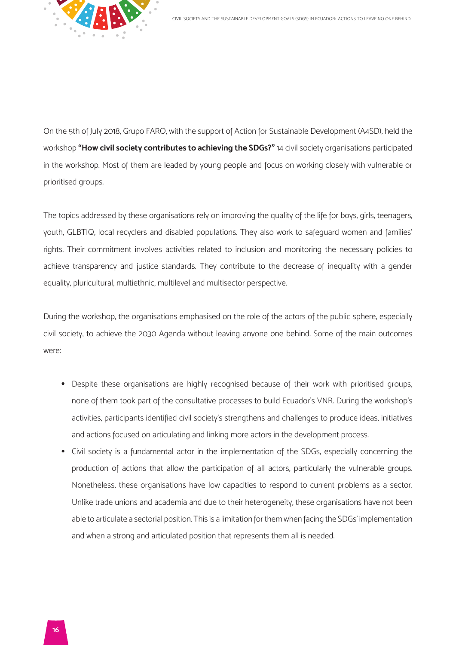

On the 5th of July 2018, Grupo FARO, with the support of Action for Sustainable Development (A4SD), held the workshop **"How civil society contributes to achieving the SDGs?"** 14 civil society organisations participated in the workshop. Most of them are leaded by young people and focus on working closely with vulnerable or prioritised groups.

The topics addressed by these organisations rely on improving the quality of the life for boys, girls, teenagers, youth, GLBTIQ, local recyclers and disabled populations. They also work to safeguard women and families' rights. Their commitment involves activities related to inclusion and monitoring the necessary policies to achieve transparency and justice standards. They contribute to the decrease of inequality with a gender equality, pluricultural, multiethnic, multilevel and multisector perspective.

During the workshop, the organisations emphasised on the role of the actors of the public sphere, especially civil society, to achieve the 2030 Agenda without leaving anyone one behind. Some of the main outcomes were:

- Despite these organisations are highly recognised because of their work with prioritised groups, none of them took part of the consultative processes to build Ecuador's VNR. During the workshop's activities, participants identified civil society's strengthens and challenges to produce ideas, initiatives and actions focused on articulating and linking more actors in the development process.
- Civil society is a fundamental actor in the implementation of the SDGs, especially concerning the production of actions that allow the participation of all actors, particularly the vulnerable groups. Nonetheless, these organisations have low capacities to respond to current problems as a sector. Unlike trade unions and academia and due to their heterogeneity, these organisations have not been able to articulate a sectorial position. This is a limitation for them when facing the SDGs' implementation and when a strong and articulated position that represents them all is needed.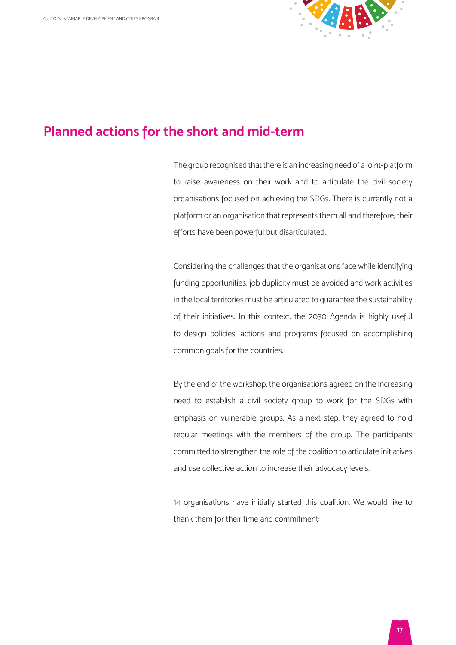

#### **Planned actions for the short and mid-term**

The group recognised that there is an increasing need of a joint-platform to raise awareness on their work and to articulate the civil society organisations focused on achieving the SDGs. There is currently not a platform or an organisation that represents them all and therefore, their efforts have been powerful but disarticulated.

Considering the challenges that the organisations face while identifying funding opportunities, job duplicity must be avoided and work activities in the local territories must be articulated to guarantee the sustainability of their initiatives. In this context, the 2030 Agenda is highly useful to design policies, actions and programs focused on accomplishing common goals for the countries.

By the end of the workshop, the organisations agreed on the increasing need to establish a civil society group to work for the SDGs with emphasis on vulnerable groups. As a next step, they agreed to hold regular meetings with the members of the group. The participants committed to strengthen the role of the coalition to articulate initiatives and use collective action to increase their advocacy levels.

14 organisations have initially started this coalition. We would like to thank them for their time and commitment: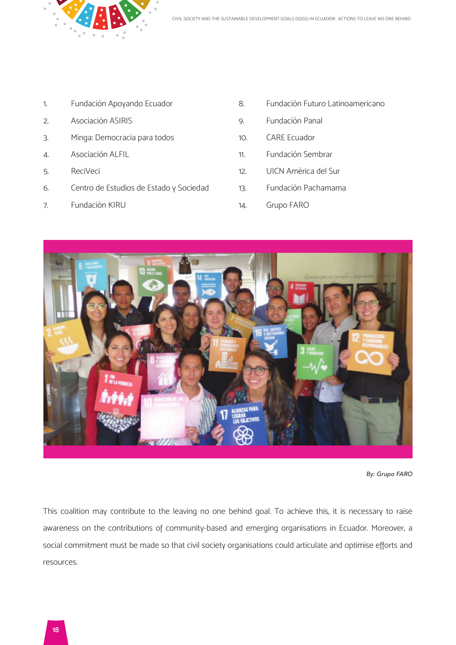

- 1. Fundación Apoyando Ecuador
- 2. Asociación ASIRIS
- 3. Minga: Democracia para todos
- 4. Asociación ALFIL
- 5. ReciVeci
- 6. Centro de Estudios de Estado y Sociedad
- 7. Fundación KIRU
- 8. Fundación Futuro Latinoamericano
- 9. Fundación Panal
- 10. CARE Ecuador
- 11. Fundación Sembrar
- 12. UICN América del Sur
- 13. Fundación Pachamama
- 14. Grupo FARO



*By: Grupo FARO*

This coalition may contribute to the leaving no one behind goal. To achieve this, it is necessary to raise awareness on the contributions of community-based and emerging organisations in Ecuador. Moreover, a social commitment must be made so that civil society organisations could articulate and optimise efforts and resources.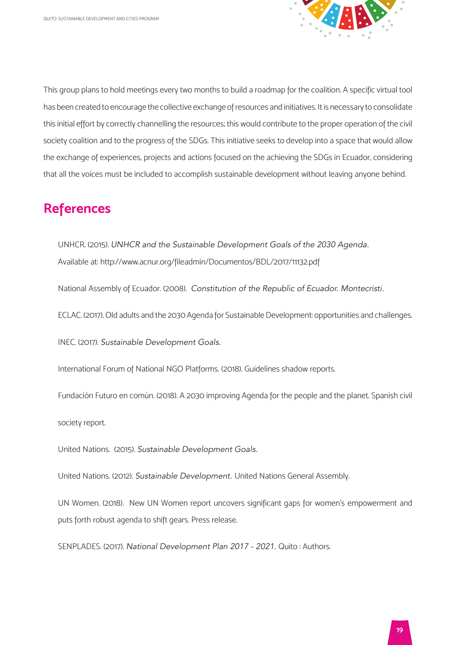

This group plans to hold meetings every two months to build a roadmap for the coalition. A specific virtual tool has been created to encourage the collective exchange of resources and initiatives. It is necessary to consolidate this initial effort by correctly channelling the resources; this would contribute to the proper operation of the civil society coalition and to the progress of the SDGs. This initiative seeks to develop into a space that would allow the exchange of experiences, projects and actions focused on the achieving the SDGs in Ecuador, considering that all the voices must be included to accomplish sustainable development without leaving anyone behind.

## **References**

UNHCR. (2015). *UNHCR and the Sustainable Development Goals of the 2030 Agenda.* Available at: http://www.acnur.org/fileadmin/Documentos/BDL/2017/11132.pdf

National Assembly of Ecuador. (2008). *Constitution of the Republic of Ecuador. Montecristi.*

ECLAC. (2017). Old adults and the 2030 Agenda for Sustainable Development: opportunities and challenges.

INEC. (2017). *Sustainable Development Goals.*

International Forum of National NGO Platforms. (2018). Guidelines shadow reports.

Fundación Futuro en común. (2018). A 2030 improving Agenda for the people and the planet. Spanish civil

society report.

United Nations. (2015). *Sustainable Development Goals.*

United Nations. (2012). *Sustainable Development.* United Nations General Assembly.

UN Women. (2018). New UN Women report uncovers significant gaps for women's empowerment and puts forth robust agenda to shift gears. Press release.

SENPLADES. (2017). *National Development Plan 2017 - 2021.* Quito : Authors.